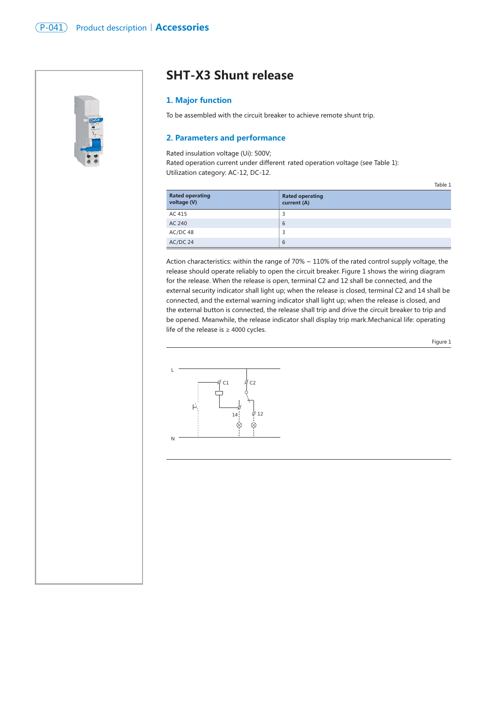

# **SHT-X3 Shunt release**

## **1. Major function**

To be assembled with the circuit breaker to achieve remote shunt trip.

## **2. Parameters and performance**

Rated insulation voltage (Ui): 500V;

Rated operation current under different rated operation voltage (see Table 1): Utilization category: AC-12, DC-12.

| <b>Rated operating</b><br>voltage (V) | <b>Rated operating</b><br>current (A) |
|---------------------------------------|---------------------------------------|
| AC 415                                | 3                                     |
| AC 240                                | 6                                     |
| AC/DC 48                              | 3                                     |
| AC/DC 24                              | 6                                     |

Action characteristics: within the range of 70% ~ 110% of the rated control supply voltage, the release should operate reliably to open the circuit breaker. Figure 1 shows the wiring diagram for the release. When the release is open, terminal C2 and 12 shall be connected, and the external security indicator shall light up; when the release is closed, terminal C2 and 14 shall be connected, and the external warning indicator shall light up; when the release is closed, and the external button is connected, the release shall trip and drive the circuit breaker to trip and be opened. Meanwhile, the release indicator shall display trip mark.Mechanical life: operating life of the release is ≥ 4000 cycles.

Figure 1

Table 1